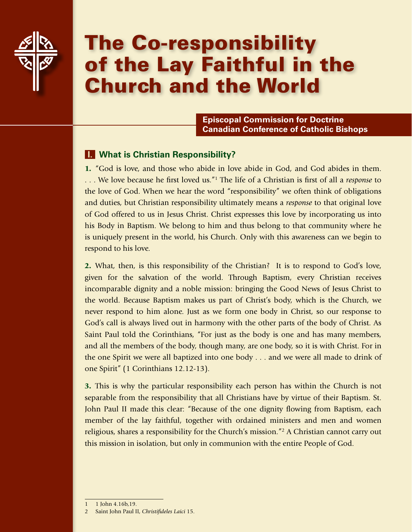

# The Co-responsibility of the Lay Faithful in the Church and the World

**Episcopal Commission for Doctrine Canadian Conference of Catholic Bishops**

## **I. What is Christian Responsibility?**

1. "God is love, and those who abide in love abide in God, and God abides in them. . . . We love because he first loved us."1 The life of a Christian is first of all a *response* to the love of God. When we hear the word "responsibility" we often think of obligations and duties, but Christian responsibility ultimately means a *response* to that original love of God offered to us in Jesus Christ. Christ expresses this love by incorporating us into his Body in Baptism. We belong to him and thus belong to that community where he is uniquely present in the world, his Church. Only with this awareness can we begin to respond to his love.

2. What, then, is this responsibility of the Christian? It is to respond to God's love, given for the salvation of the world. Through Baptism, every Christian receives incomparable dignity and a noble mission: bringing the Good News of Jesus Christ to the world. Because Baptism makes us part of Christ's body, which is the Church, we never respond to him alone. Just as we form one body in Christ, so our response to God's call is always lived out in harmony with the other parts of the body of Christ. As Saint Paul told the Corinthians, "For just as the body is one and has many members, and all the members of the body, though many, are one body, so it is with Christ. For in the one Spirit we were all baptized into one body . . . and we were all made to drink of one Spirit" (1 Corinthians 12.12-13).

3. This is why the particular responsibility each person has within the Church is not separable from the responsibility that all Christians have by virtue of their Baptism. St. John Paul II made this clear: "Because of the one dignity flowing from Baptism, each member of the lay faithful, together with ordained ministers and men and women religious, shares a responsibility for the Church's mission."<sup>2</sup> A Christian cannot carry out this mission in isolation, but only in communion with the entire People of God.

<sup>1</sup> 1 John 4.16b,19.

<sup>2</sup> Saint John Paul II, *Christifideles Laici* 15.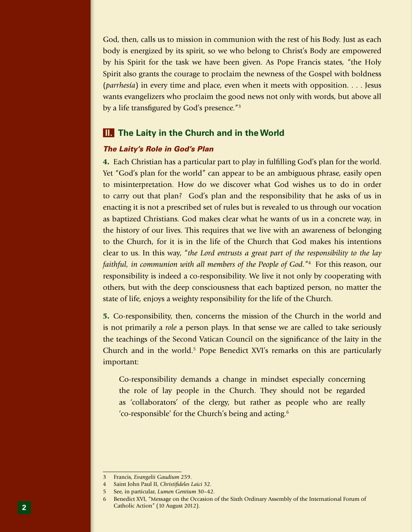God, then, calls us to mission in communion with the rest of his Body. Just as each body is energized by its spirit, so we who belong to Christ's Body are empowered by his Spirit for the task we have been given. As Pope Francis states, "the Holy Spirit also grants the courage to proclaim the newness of the Gospel with boldness (*parrhesía*) in every time and place, even when it meets with opposition. . . . Jesus wants evangelizers who proclaim the good news not only with words, but above all by a life transfigured by God's presence."3

## **II. The Laity in the Church and in the World**

## *The Laity's Role in God's Plan*

4. Each Christian has a particular part to play in fulfilling God's plan for the world. Yet "God's plan for the world" can appear to be an ambiguous phrase, easily open to misinterpretation. How do we discover what God wishes us to do in order to carry out that plan? God's plan and the responsibility that he asks of us in enacting it is not a prescribed set of rules but is revealed to us through our vocation as baptized Christians. God makes clear what he wants of us in a concrete way, in the history of our lives. This requires that we live with an awareness of belonging to the Church, for it is in the life of the Church that God makes his intentions clear to us. In this way, "*the Lord entrusts a great part of the responsibility to the lay faithful, in communion with all members of the People of God.*"4 For this reason, our responsibility is indeed a co-responsibility. We live it not only by cooperating with others, but with the deep consciousness that each baptized person, no matter the state of life, enjoys a weighty responsibility for the life of the Church.

5. Co-responsibility, then, concerns the mission of the Church in the world and is not primarily a *role* a person plays. In that sense we are called to take seriously the teachings of the Second Vatican Council on the significance of the laity in the Church and in the world.<sup>5</sup> Pope Benedict XVI's remarks on this are particularly important:

Co-responsibility demands a change in mindset especially concerning the role of lay people in the Church. They should not be regarded as 'collaborators' of the clergy, but rather as people who are really 'co-responsible' for the Church's being and acting.6

<sup>3</sup> Francis, *Evangelii Gaudium* 259.

<sup>4</sup> Saint John Paul II, *Christifideles Laici* 32.

<sup>5</sup> See, in particular, *Lumen Gentium* 30–42.

<sup>6</sup> Benedict XVI, "Message on the Occasion of the Sixth Ordinary Assembly of the International Forum of Catholic Action" (10 August 2012).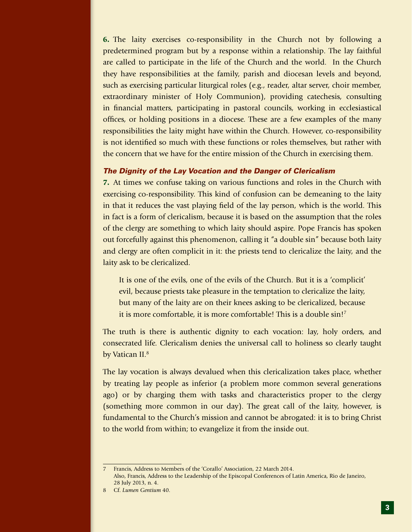6. The laity exercises co-responsibility in the Church not by following a predetermined program but by a response within a relationship. The lay faithful are called to participate in the life of the Church and the world. In the Church they have responsibilities at the family, parish and diocesan levels and beyond, such as exercising particular liturgical roles (e.g., reader, altar server, choir member, extraordinary minister of Holy Communion), providing catechesis, consulting in financial matters, participating in pastoral councils, working in ecclesiastical offices, or holding positions in a diocese. These are a few examples of the many responsibilities the laity might have within the Church. However, co-responsibility is not identified so much with these functions or roles themselves, but rather with the concern that we have for the entire mission of the Church in exercising them.

### *The Dignity of the Lay Vocation and the Danger of Clericalism*

7. At times we confuse taking on various functions and roles in the Church with exercising co-responsibility. This kind of confusion can be demeaning to the laity in that it reduces the vast playing field of the lay person, which is the world. This in fact is a form of clericalism, because it is based on the assumption that the roles of the clergy are something to which laity should aspire. Pope Francis has spoken out forcefully against this phenomenon, calling it "a double sin" because both laity and clergy are often complicit in it: the priests tend to clericalize the laity, and the laity ask to be clericalized.

It is one of the evils, one of the evils of the Church. But it is a 'complicit' evil, because priests take pleasure in the temptation to clericalize the laity, but many of the laity are on their knees asking to be clericalized, because it is more comfortable, it is more comfortable! This is a double sin!7

The truth is there is authentic dignity to each vocation: lay, holy orders, and consecrated life. Clericalism denies the universal call to holiness so clearly taught by Vatican II.<sup>8</sup>

The lay vocation is always devalued when this clericalization takes place, whether by treating lay people as inferior (a problem more common several generations ago) or by charging them with tasks and characteristics proper to the clergy (something more common in our day). The great call of the laity, however, is fundamental to the Church's mission and cannot be abrogated: it is to bring Christ to the world from within; to evangelize it from the inside out.

<sup>7</sup> Francis, Address to Members of the 'Corallo' Association, 22 March 2014. Also, Francis, Address to the Leadership of the Episcopal Conferences of Latin America, Rio de Janeiro, 28 July 2013, n. 4.

<sup>8</sup> Cf. *Lumen Gentium* 40.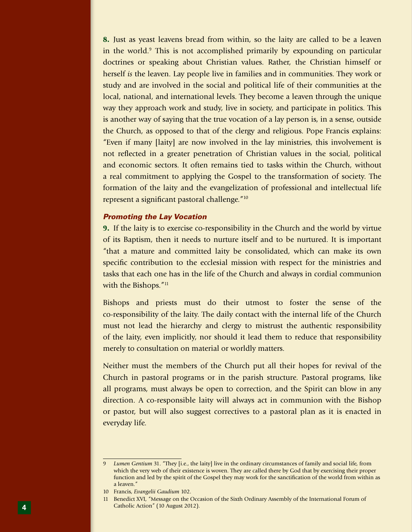8. Just as yeast leavens bread from within, so the laity are called to be a leaven in the world.<sup>9</sup> This is not accomplished primarily by expounding on particular doctrines or speaking about Christian values. Rather, the Christian himself or herself *is* the leaven. Lay people live in families and in communities. They work or study and are involved in the social and political life of their communities at the local, national, and international levels. They become a leaven through the unique way they approach work and study, live in society, and participate in politics. This is another way of saying that the true vocation of a lay person is, in a sense, outside the Church, as opposed to that of the clergy and religious. Pope Francis explains: "Even if many [laity] are now involved in the lay ministries, this involvement is not reflected in a greater penetration of Christian values in the social, political and economic sectors. It often remains tied to tasks within the Church, without a real commitment to applying the Gospel to the transformation of society. The formation of the laity and the evangelization of professional and intellectual life represent a significant pastoral challenge."10

## *Promoting the Lay Vocation*

9. If the laity is to exercise co-responsibility in the Church and the world by virtue of its Baptism, then it needs to nurture itself and to be nurtured. It is important "that a mature and committed laity be consolidated, which can make its own specific contribution to the ecclesial mission with respect for the ministries and tasks that each one has in the life of the Church and always in cordial communion with the Bishops."<sup>11</sup>

Bishops and priests must do their utmost to foster the sense of the co-responsibility of the laity. The daily contact with the internal life of the Church must not lead the hierarchy and clergy to mistrust the authentic responsibility of the laity, even implicitly, nor should it lead them to reduce that responsibility merely to consultation on material or worldly matters.

Neither must the members of the Church put all their hopes for revival of the Church in pastoral programs or in the parish structure. Pastoral programs, like all programs, must always be open to correction, and the Spirit can blow in any direction. A co-responsible laity will always act in communion with the Bishop or pastor, but will also suggest correctives to a pastoral plan as it is enacted in everyday life.

<sup>9</sup> *Lumen Gentium* 31. "They [i.e., the laity] live in the ordinary circumstances of family and social life, from which the very web of their existence is woven. They are called there by God that by exercising their proper function and led by the spirit of the Gospel they may work for the sanctification of the world from within as a leaven."

<sup>10</sup> Francis, *Evangelii Gaudium* 102.

<sup>11</sup> Benedict XVI, "Message on the Occasion of the Sixth Ordinary Assembly of the International Forum of Catholic Action" (10 August 2012).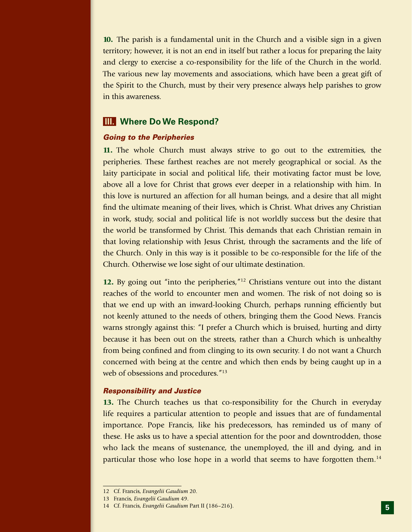10. The parish is a fundamental unit in the Church and a visible sign in a given territory; however, it is not an end in itself but rather a locus for preparing the laity and clergy to exercise a co-responsibility for the life of the Church in the world. The various new lay movements and associations, which have been a great gift of the Spirit to the Church, must by their very presence always help parishes to grow in this awareness.

## **III. Where Do We Respond?**

### *Going to the Peripheries*

11. The whole Church must always strive to go out to the extremities, the peripheries. These farthest reaches are not merely geographical or social. As the laity participate in social and political life, their motivating factor must be love, above all a love for Christ that grows ever deeper in a relationship with him. In this love is nurtured an affection for all human beings, and a desire that all might find the ultimate meaning of their lives, which is Christ. What drives any Christian in work, study, social and political life is not worldly success but the desire that the world be transformed by Christ. This demands that each Christian remain in that loving relationship with Jesus Christ, through the sacraments and the life of the Church. Only in this way is it possible to be co-responsible for the life of the Church. Otherwise we lose sight of our ultimate destination.

12. By going out "into the peripheries,"<sup>12</sup> Christians venture out into the distant reaches of the world to encounter men and women. The risk of not doing so is that we end up with an inward-looking Church, perhaps running efficiently but not keenly attuned to the needs of others, bringing them the Good News. Francis warns strongly against this: "I prefer a Church which is bruised, hurting and dirty because it has been out on the streets, rather than a Church which is unhealthy from being confined and from clinging to its own security. I do not want a Church concerned with being at the centre and which then ends by being caught up in a web of obsessions and procedures."<sup>13</sup>

#### *Responsibility and Justice*

13. The Church teaches us that co-responsibility for the Church in everyday life requires a particular attention to people and issues that are of fundamental importance. Pope Francis, like his predecessors, has reminded us of many of these. He asks us to have a special attention for the poor and downtrodden, those who lack the means of sustenance, the unemployed, the ill and dying, and in particular those who lose hope in a world that seems to have forgotten them.14

<sup>12</sup> Cf. Francis, *Evangelii Gaudium* 20.

<sup>13</sup> Francis, *Evangelii Gaudium* 49.

<sup>14</sup> Cf. Francis, *Evangelii Gaudium* Part II (186–216).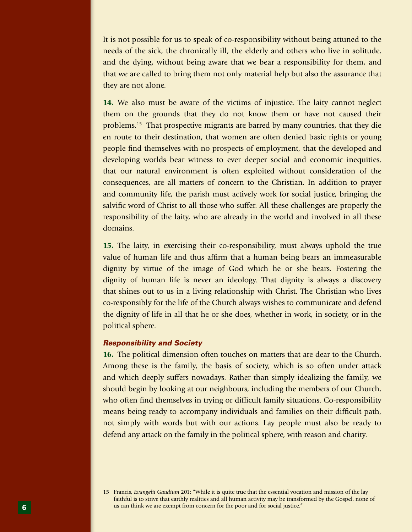It is not possible for us to speak of co-responsibility without being attuned to the needs of the sick, the chronically ill, the elderly and others who live in solitude, and the dying, without being aware that we bear a responsibility for them, and that we are called to bring them not only material help but also the assurance that they are not alone.

14. We also must be aware of the victims of injustice. The laity cannot neglect them on the grounds that they do not know them or have not caused their problems.15 That prospective migrants are barred by many countries, that they die en route to their destination, that women are often denied basic rights or young people find themselves with no prospects of employment, that the developed and developing worlds bear witness to ever deeper social and economic inequities, that our natural environment is often exploited without consideration of the consequences, are all matters of concern to the Christian. In addition to prayer and community life, the parish must actively work for social justice, bringing the salvific word of Christ to all those who suffer. All these challenges are properly the responsibility of the laity, who are already in the world and involved in all these domains.

15. The laity, in exercising their co-responsibility, must always uphold the true value of human life and thus affirm that a human being bears an immeasurable dignity by virtue of the image of God which he or she bears. Fostering the dignity of human life is never an ideology. That dignity is always a discovery that shines out to us in a living relationship with Christ. The Christian who lives co-responsibly for the life of the Church always wishes to communicate and defend the dignity of life in all that he or she does, whether in work, in society, or in the political sphere.

#### *Responsibility and Society*

16. The political dimension often touches on matters that are dear to the Church. Among these is the family, the basis of society, which is so often under attack and which deeply suffers nowadays. Rather than simply idealizing the family, we should begin by looking at our neighbours, including the members of our Church, who often find themselves in trying or difficult family situations. Co-responsibility means being ready to accompany individuals and families on their difficult path, not simply with words but with our actions. Lay people must also be ready to defend any attack on the family in the political sphere, with reason and charity.

<sup>15</sup> Francis, *Evangelii Gaudium* 201: "While it is quite true that the essential vocation and mission of the lay faithful is to strive that earthly realities and all human activity may be transformed by the Gospel, none of us can think we are exempt from concern for the poor and for social justice."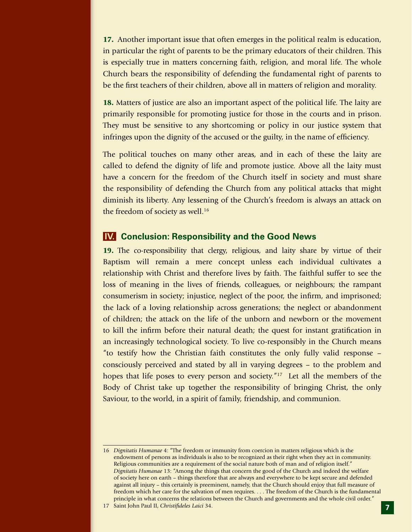17. Another important issue that often emerges in the political realm is education, in particular the right of parents to be the primary educators of their children. This is especially true in matters concerning faith, religion, and moral life. The whole Church bears the responsibility of defending the fundamental right of parents to be the first teachers of their children, above all in matters of religion and morality.

18. Matters of justice are also an important aspect of the political life. The laity are primarily responsible for promoting justice for those in the courts and in prison. They must be sensitive to any shortcoming or policy in our justice system that infringes upon the dignity of the accused or the guilty, in the name of efficiency.

The political touches on many other areas, and in each of these the laity are called to defend the dignity of life and promote justice. Above all the laity must have a concern for the freedom of the Church itself in society and must share the responsibility of defending the Church from any political attacks that might diminish its liberty. Any lessening of the Church's freedom is always an attack on the freedom of society as well.<sup>16</sup>

## **IV. Conclusion: Responsibility and the Good News**

19. The co-responsibility that clergy, religious, and laity share by virtue of their Baptism will remain a mere concept unless each individual cultivates a relationship with Christ and therefore lives by faith. The faithful suffer to see the loss of meaning in the lives of friends, colleagues, or neighbours; the rampant consumerism in society; injustice, neglect of the poor, the infirm, and imprisoned; the lack of a loving relationship across generations; the neglect or abandonment of children; the attack on the life of the unborn and newborn or the movement to kill the infirm before their natural death; the quest for instant gratification in an increasingly technological society. To live co-responsibly in the Church means "to testify how the Christian faith constitutes the only fully valid response – consciously perceived and stated by all in varying degrees – to the problem and hopes that life poses to every person and society."<sup>17</sup> Let all the members of the Body of Christ take up together the responsibility of bringing Christ, the only Saviour, to the world, in a spirit of family, friendship, and communion.

<sup>16</sup> *Dignitatis Humanae* 4: "The freedom or immunity from coercion in matters religious which is the endowment of persons as individuals is also to be recognized as their right when they act in community. Religious communities are a requirement of the social nature both of man and of religion itself." *Dignitatis Humanae* 13: "Among the things that concern the good of the Church and indeed the welfare of society here on earth – things therefore that are always and everywhere to be kept secure and defended against all injury – this certainly is preeminent, namely, that the Church should enjoy that full measure of freedom which her care for the salvation of men requires. . . . The freedom of the Church is the fundamental principle in what concerns the relations between the Church and governments and the whole civil order."

<sup>17</sup> Saint John Paul II, *Christifideles Laici* 34.